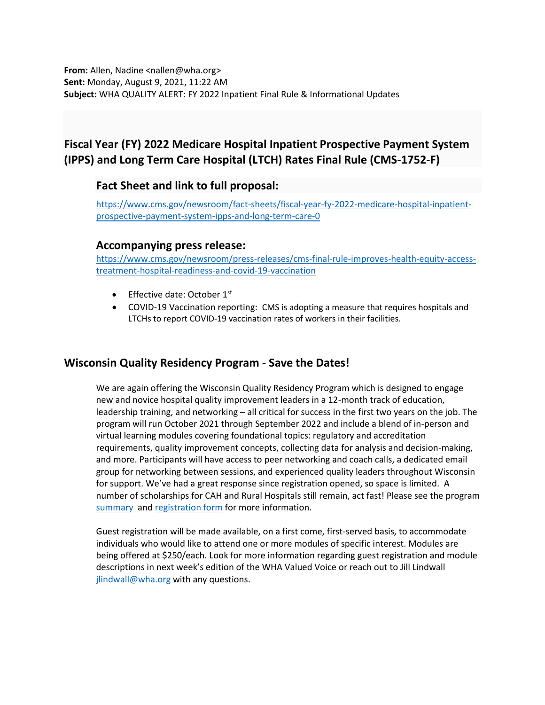**From:** Allen, Nadine <nallen@wha.org> **Sent:** Monday, August 9, 2021, 11:22 AM **Subject:** WHA QUALITY ALERT: FY 2022 Inpatient Final Rule & Informational Updates

# **Fiscal Year (FY) 2022 Medicare Hospital Inpatient Prospective Payment System (IPPS) and Long Term Care Hospital (LTCH) Rates Final Rule (CMS-1752-F)**

#### **Fact Sheet and link to full proposal:**

[https://www.cms.gov/newsroom/fact-sheets/fiscal-year-fy-2022-medicare-hospital-inpatient](https://www.cms.gov/newsroom/fact-sheets/fiscal-year-fy-2022-medicare-hospital-inpatient-prospective-payment-system-ipps-and-long-term-care-0)[prospective-payment-system-ipps-and-long-term-care-0](https://www.cms.gov/newsroom/fact-sheets/fiscal-year-fy-2022-medicare-hospital-inpatient-prospective-payment-system-ipps-and-long-term-care-0)

#### **Accompanying press release:**

[https://www.cms.gov/newsroom/press-releases/cms-final-rule-improves-health-equity-access](https://www.cms.gov/newsroom/press-releases/cms-final-rule-improves-health-equity-access-treatment-hospital-readiness-and-covid-19-vaccination)[treatment-hospital-readiness-and-covid-19-vaccination](https://www.cms.gov/newsroom/press-releases/cms-final-rule-improves-health-equity-access-treatment-hospital-readiness-and-covid-19-vaccination)

- Effective date: October 1st
- COVID-19 Vaccination reporting: CMS is adopting a measure that requires hospitals and LTCHs to report COVID-19 vaccination rates of workers in their facilities.

## **Wisconsin Quality Residency Program - Save the Dates!**

We are again offering the Wisconsin Quality Residency Program which is designed to engage new and novice hospital quality improvement leaders in a 12-month track of education, leadership training, and networking – all critical for success in the first two years on the job. The program will run October 2021 through September 2022 and include a blend of in-person and virtual learning modules covering foundational topics: regulatory and accreditation requirements, quality improvement concepts, collecting data for analysis and decision-making, and more. Participants will have access to peer networking and coach calls, a dedicated email group for networking between sessions, and experienced quality leaders throughout Wisconsin for support. We've had a great response since registration opened, so space is limited. A number of scholarships for CAH and Rural Hospitals still remain, act fast! Please see the program [summary](https://www.wha.org/QualityResidencyModuleSchedule) and [registration form](https://forms.office.com/Pages/ResponsePage.aspx?id=-EZlu16lpkyY7B0he0zJsDpyq15tcXFPocDSKvA5_XJUNENSUzhXM1pTNzlSMlkzTUs2STdYTkxENiQlQCN0PWcu) for more information.

Guest registration will be made available, on a first come, first-served basis, to accommodate individuals who would like to attend one or more modules of specific interest. Modules are being offered at \$250/each. Look for more information regarding guest registration and module descriptions in next week's edition of the WHA Valued Voice or reach out to Jill Lindwall [jlindwall@wha.org](mailto:jlindwall@wha.org) with any questions.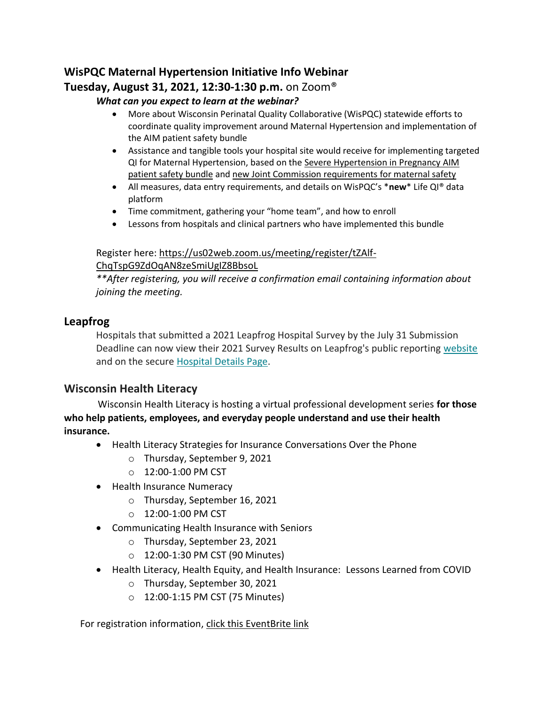## **WisPQC Maternal Hypertension Initiative Info Webinar Tuesday, August 31, 2021, 12:30-1:30 p.m.** on Zoom®

#### *What can you expect to learn at the webinar?*

- More about Wisconsin Perinatal Quality Collaborative (WisPQC) statewide efforts to coordinate quality improvement around Maternal Hypertension and implementation of the AIM patient safety bundle
- Assistance and tangible tools your hospital site would receive for implementing targeted QI for Maternal Hypertension, based on the [Severe Hypertension in Pregnancy AIM](https://safehealthcareforeverywoman.org/council/patient-safety-bundles/maternal-safety-bundles/severe-hypertension-in-pregnancy-aim/)  [patient safety bundle](https://safehealthcareforeverywoman.org/council/patient-safety-bundles/maternal-safety-bundles/severe-hypertension-in-pregnancy-aim/) and [new Joint Commission requirements](https://www.jointcommission.org/-/media/tjc/documents/standards/r3-reports/r3_24_maternal_safety_hap_9_6_19_final1.pdf) for maternal safety
- All measures, data entry requirements, and details on WisPQC's \***new**\* Life QI® data platform
- Time commitment, gathering your "home team", and how to enroll
- Lessons from hospitals and clinical partners who have implemented this bundle

#### Register here: [https://us02web.zoom.us/meeting/register/tZAlf-](https://us02web.zoom.us/meeting/register/tZAlf-ChqTspG9ZdOqAN8zeSmiUgIZ8BbsoL)[ChqTspG9ZdOqAN8zeSmiUgIZ8BbsoL](https://us02web.zoom.us/meeting/register/tZAlf-ChqTspG9ZdOqAN8zeSmiUgIZ8BbsoL)

*\*\*After registering, you will receive a confirmation email containing information about joining the meeting.*

## **Leapfrog**

Hospitals that submitted a 2021 Leapfrog Hospital Survey by the July 31 Submission Deadline can now view their 2021 Survey Results on Leapfrog's public reporting [website](https://leapfroggroup.us12.list-manage.com/track/click?u=8d3e5c715fc63c907baecbf85&id=8719adb4a5&e=72ce3e2f85) and on the secure Hospital [Details Page.](https://leapfroggroup.us12.list-manage.com/track/click?u=8d3e5c715fc63c907baecbf85&id=37fc4a29cd&e=72ce3e2f85)

## **Wisconsin Health Literacy**

Wisconsin Health Literacy is hosting a virtual professional development series **for those who help patients, employees, and everyday people understand and use their health insurance.** 

- Health Literacy Strategies for Insurance Conversations Over the Phone
	- o Thursday, September 9, 2021
	- o 12:00-1:00 PM CST
- Health Insurance Numeracy
	- o Thursday, September 16, 2021
	- o 12:00-1:00 PM CST
- Communicating Health Insurance with Seniors
	- o Thursday, September 23, 2021
	- $O$  12:00-1:30 PM CST (90 Minutes)
- Health Literacy, Health Equity, and Health Insurance: Lessons Learned from COVID
	- o Thursday, September 30, 2021
	- o 12:00-1:15 PM CST (75 Minutes)

#### For registration information, [click this EventBrite link](https://www.eventbrite.com/e/strengthen-health-insurance-literacy-tickets-157948878347)